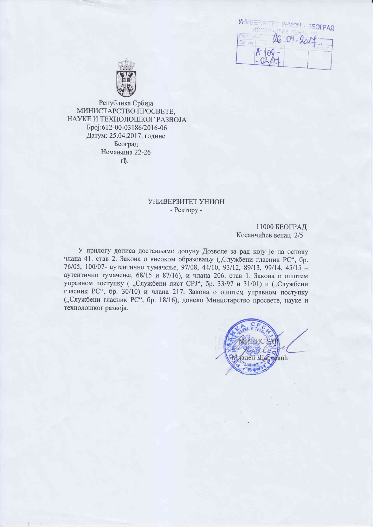| <b>KANDI LA PARTIE</b> | УНИВЕРЗИТЕТ УНИОН - БЕОГРАД |
|------------------------|-----------------------------|
|                        |                             |
| $-400$                 |                             |
|                        |                             |



Република Србија МИНИСТАРСТВО ПРОСВЕТЕ, НАУКЕ И ТЕХНОЛОШКОГ РАЗВОЈА Epoj:612-00-03186/2016-06 Датум: 25.04.2017. године Београд Немањина 22-26 гħ.

#### УНИВЕРЗИТЕТ УНИОН - Ректору -

#### 11000 БЕОГРАД Косанчићев венац 2/5

У прилогу дописа достављамо допуну Дозволе за рад коју је на основу члана 41. став 2. Закона о високом образовању ("Службени гласник РС", бр. 76/05, 100/07- аутентично тумачење, 97/08, 44/10, 93/12, 89/13, 99/14, 45/15 аутентично тумачење, 68/15 и 87/16), и члана 206. став 1. Закона о општем управном поступку ("Службени лист СРЈ", бр. 33/97 и 31/01) и ("Службени гласник РС", бр. 30/10) и члана 217. Закона о општем управном поступку ("Службени гласник РС", бр. 18/16), донело Министарство просвете, науке и технолошког развоја.

Младен Шартовић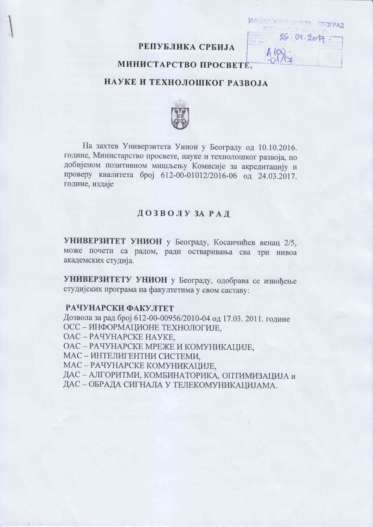## РЕПУБЛИКА СРБИЈА

*VHWBEPONTET VHMOU* 

いしい性 Infestale  $26.04.28$ 

KOC.

One: Inn

**ЕЕОГРАЛ** 

### МИНИСТАРСТВО ПРОСВЕТЕ.

### НАУКЕ И ТЕХНОЛОШКОГ РАЗВОЈА



На захтев Универзитета Унион у Београду од 10.10.2016. године, Министарство просвете, науке и технолошког развоја, по добијеном позитивном мишљењу Комисије за акредитацију и проверу квалитета број 612-00-01012/2016-06 од 24.03.2017. године, издаје

### ДОЗВОЛУЗАРАД

УНИВЕРЗИТЕТ УНИОН у Београду, Косанчићев венац 2/5, може почети са радом, ради остваривања сва три нивоа академских студија.

УНИВЕРЗИТЕТУ УНИОН у Београду, одобрава се извођење студијских програма на факултетима у свом саставу:

#### РАЧУНАРСКИ ФАКУЛТЕТ

Дозвола за рад број 612-00-00956/2010-04 од 17.03. 2011. године ОСС - ИНФОРМАЦИОНЕ ТЕХНОЛОГИЈЕ,

ОАС - РАЧУНАРСКЕ НАУКЕ.

ОАС - РАЧУНАРСКЕ МРЕЖЕ И КОМУНИКАЦИЈЕ,

МАС - ИНТЕЛИГЕНТНИ СИСТЕМИ,

МАС - РАЧУНАРСКЕ КОМУНИКАЦИЈЕ,

ДАС - АЛГОРИТМИ, КОМБИНАТОРИКА, ОПТИМИЗАЦИЈА и

ДАС - ОБРАДА СИГНАЛА У ТЕЛЕКОМУНИКАЦИЈАМА.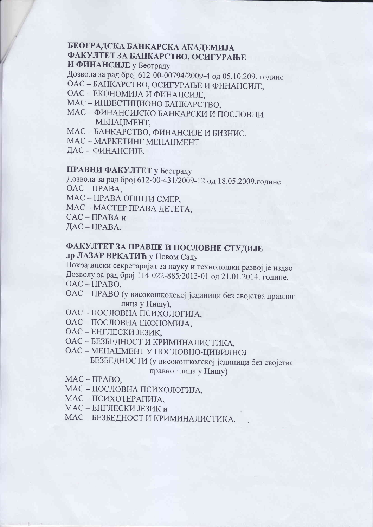# БЕОГРАДСКА БАНКАРСКА АКАДЕМИЈА ФАКУЛТЕТ ЗА БАНКАРСТВО, ОСИГУРАЊЕ

И ФИНАНСИЈЕ у Београду

Дозвола за рад број 612-00-00794/2009-4 од 05.10.209. године

ОАС - БАНКАРСТВО, ОСИГУРАЊЕ И ФИНАНСИЈЕ,

ОАС - ЕКОНОМИЈА И ФИНАНСИЈЕ,

МАС - ИНВЕСТИЦИОНО БАНКАРСТВО,

МАС - ФИНАНСИЈСКО БАНКАРСКИ И ПОСЛОВНИ MEHALIMEHT.

МАС - БАНКАРСТВО, ФИНАНСИЈЕ И БИЗНИС,

MAC - MAPKETИHT MEHALIMEHT

ДАС - ФИНАНСИЈЕ.

## ПРАВНИ ФАКУЛТЕТ у Београду

Дозвола за рад број 612-00-431/2009-12 од 18.05.2009.године  $OAC - IIPABA$ .

МАС - ПРАВА ОПШТИ СМЕР,

МАС - МАСТЕР ПРАВА ДЕТЕТА,

 $CAC - IPABA$  и

ДАС-ПРАВА.

# ФАКУЛТЕТ ЗА ПРАВНЕ И ПОСЛОВНЕ СТУДИЈЕ

др ЛАЗАР ВРКАТИЋ у Новом Саду

Покрајински секретаријат за науку и технолошки развој је издао Дозволу за рад број 114-022-885/2013-01 од 21.01.2014. године.  $OAC - IIPABO.$ 

ОАС - ПРАВО (у високошколској јединици без својства правног лица у Нишу),

ОАС - ПОСЛОВНА ПСИХОЛОГИЈА,

ОАС - ПОСЛОВНА ЕКОНОМИЈА,

ОАС - ЕНГЛЕСКИ ЈЕЗИК,

ОАС - БЕЗБЕДНОСТ И КРИМИНАЛИСТИКА,

ОАС - МЕНАЏМЕНТ У ПОСЛОВНО-ЦИВИЛНОЈ БЕЗБЕДНОСТИ (у високошколској јединици без својства

правног лица у Нишу)

 $MAC - IPABO,$ 

МАС - ПОСЛОВНА ПСИХОЛОГИЈА,

МАС - ПСИХОТЕРАПИЈА,

МАС – ЕНГЛЕСКИ ЈЕЗИК и

МАС - БЕЗБЕДНОСТ И КРИМИНАЛИСТИКА.